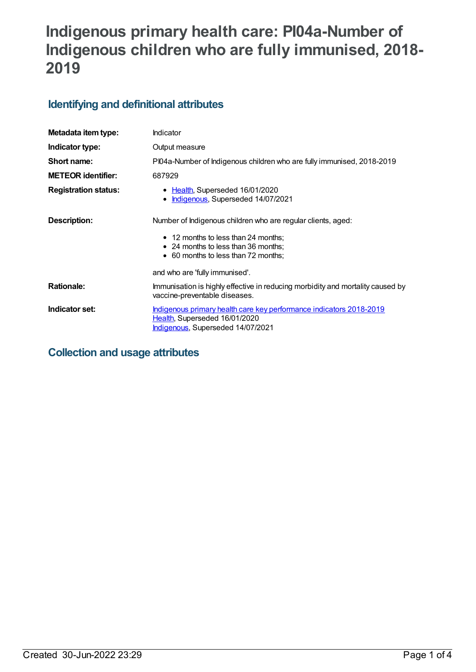# **Indigenous primary health care: PI04a-Number of Indigenous children who are fully immunised, 2018- 2019**

# **Identifying and definitional attributes**

| Metadata item type:         | Indicator                                                                                                                                                                         |
|-----------------------------|-----------------------------------------------------------------------------------------------------------------------------------------------------------------------------------|
| Indicator type:             | Output measure                                                                                                                                                                    |
| Short name:                 | PI04a-Number of Indigenous children who are fully immunised, 2018-2019                                                                                                            |
| <b>METEOR identifier:</b>   | 687929                                                                                                                                                                            |
| <b>Registration status:</b> | • Health, Superseded 16/01/2020<br>Indigenous, Superseded 14/07/2021<br>$\bullet$                                                                                                 |
| Description:                | Number of Indigenous children who are regular clients, aged:<br>• 12 months to less than 24 months;<br>• 24 months to less than 36 months;<br>• 60 months to less than 72 months; |
|                             | and who are 'fully immunised'.                                                                                                                                                    |
| <b>Rationale:</b>           | Immunisation is highly effective in reducing morbidity and mortality caused by<br>vaccine-preventable diseases.                                                                   |
| Indicator set:              | Indigenous primary health care key performance indicators 2018-2019<br>Health, Superseded 16/01/2020<br>Indigenous, Superseded 14/07/2021                                         |

# **Collection and usage attributes**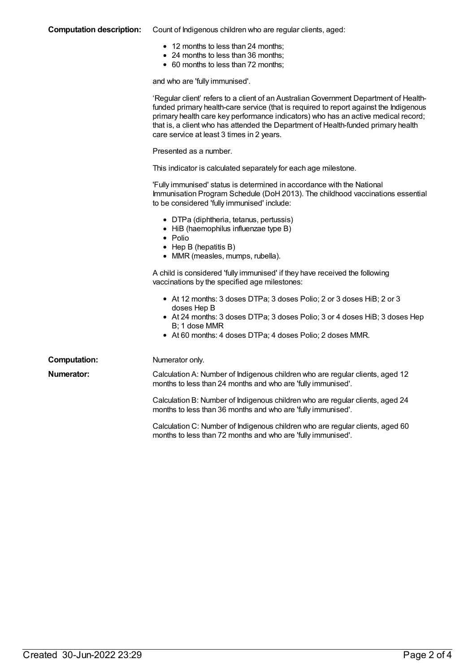#### **Computation description:** Count of Indigenous children who are regular clients, aged:

- 12 months to less than 24 months;
- 24 months to less than 36 months;
- 60 months to less than 72 months;

and who are 'fully immunised'.

|                     | 'Regular client' refers to a client of an Australian Government Department of Health-<br>funded primary health-care service (that is required to report against the Indigenous<br>primary health care key performance indicators) who has an active medical record;<br>that is, a client who has attended the Department of Health-funded primary health<br>care service at least 3 times in 2 years. |
|---------------------|-------------------------------------------------------------------------------------------------------------------------------------------------------------------------------------------------------------------------------------------------------------------------------------------------------------------------------------------------------------------------------------------------------|
|                     | Presented as a number.                                                                                                                                                                                                                                                                                                                                                                                |
|                     | This indicator is calculated separately for each age milestone.                                                                                                                                                                                                                                                                                                                                       |
|                     | 'Fully immunised' status is determined in accordance with the National<br>Immunisation Program Schedule (DoH 2013). The childhood vaccinations essential<br>to be considered 'fully immunised' include:                                                                                                                                                                                               |
|                     | • DTPa (diphtheria, tetanus, pertussis)<br>• HiB (haemophilus influenzae type B)<br>$\bullet$ Polio<br>$\bullet$ Hep B (hepatitis B)<br>• MMR (measles, mumps, rubella).                                                                                                                                                                                                                              |
|                     | A child is considered 'fully immunised' if they have received the following<br>vaccinations by the specified age milestones:                                                                                                                                                                                                                                                                          |
|                     | • At 12 months: 3 doses DTPa; 3 doses Polio; 2 or 3 doses HiB; 2 or 3<br>doses Hep B<br>• At 24 months: 3 doses DTPa; 3 doses Polio; 3 or 4 doses HiB; 3 doses Hep<br>B: 1 dose MMR<br>• At 60 months: 4 doses DTPa; 4 doses Polio; 2 doses MMR.                                                                                                                                                      |
| <b>Computation:</b> | Numerator only.                                                                                                                                                                                                                                                                                                                                                                                       |
| Numerator:          | Calculation A: Number of Indigenous children who are regular clients, aged 12<br>months to less than 24 months and who are 'fully immunised'.                                                                                                                                                                                                                                                         |
|                     | Calculation B: Number of Indigenous children who are regular clients, aged 24<br>months to less than 36 months and who are 'fully immunised'.                                                                                                                                                                                                                                                         |
|                     | Calculation C: Number of Indigenous children who are regular clients, aged 60<br>months to less than 72 months and who are 'fully immunised'.                                                                                                                                                                                                                                                         |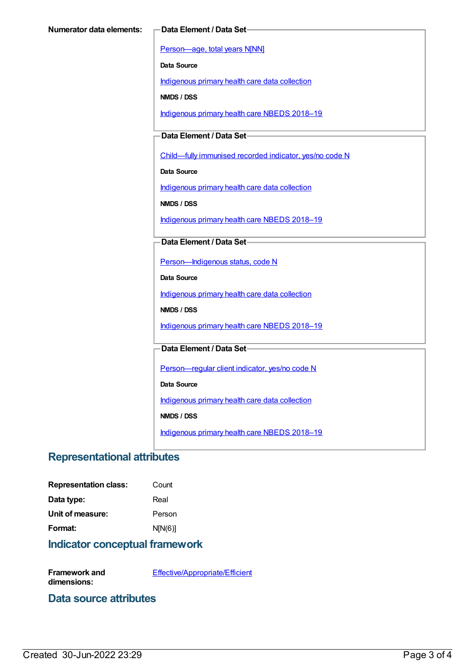[Person—age,](https://meteor.aihw.gov.au/content/303794) total years N[NN]

**Data Source**

[Indigenous](https://meteor.aihw.gov.au/content/430643) primary health care data collection

**NMDS / DSS**

[Indigenous](https://meteor.aihw.gov.au/content/694101) primary health care NBEDS 2018-19

**Data Element / Data Set**

[Child—fully](https://meteor.aihw.gov.au/content/457664) immunised recorded indicator, yes/no code N

**Data Source**

[Indigenous](https://meteor.aihw.gov.au/content/430643) primary health care data collection

**NMDS / DSS**

[Indigenous](https://meteor.aihw.gov.au/content/694101) primary health care NBEDS 2018-19

#### **Data Element / Data Set**

[Person—Indigenous](https://meteor.aihw.gov.au/content/602543) status, code N

**Data Source**

[Indigenous](https://meteor.aihw.gov.au/content/430643) primary health care data collection

**NMDS / DSS**

[Indigenous](https://meteor.aihw.gov.au/content/694101) primary health care NBEDS 2018-19

#### **Data Element / Data Set**

Person-regular client indicator, yes/no code N

**Data Source**

[Indigenous](https://meteor.aihw.gov.au/content/430643) primary health care data collection

**NMDS / DSS**

[Indigenous](https://meteor.aihw.gov.au/content/694101) primary health care NBEDS 2018–19

### **Representational attributes**

| <b>Representation class:</b> | Count   |
|------------------------------|---------|
| Data type:                   | Real    |
| Unit of measure:             | Person  |
| Format:                      | N[N(6)] |

## **Indicator conceptual framework**

**Framework and dimensions:**

[Effective/Appropriate/Efficient](https://meteor.aihw.gov.au/content/410681)

**Data source attributes**